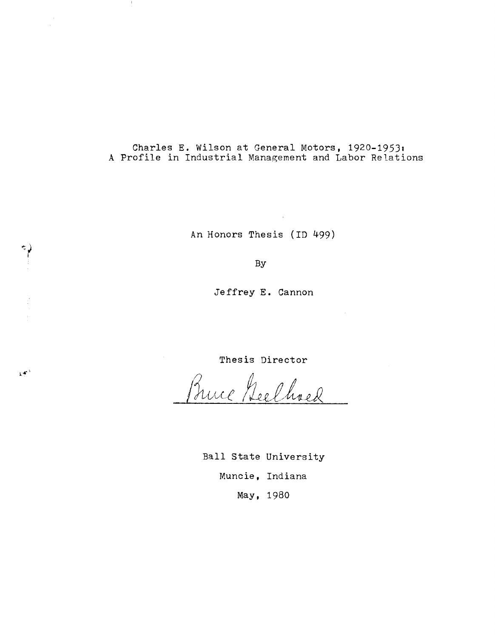Charles E. Wilson at General Motors, 1920-1953: A Profile in Industrial Management and Labor Relations

An Honors Thesis (ID 499)

By

نې<br>آ

 $\mathcal{D}^{\mathcal{L}^{\lambda}}$ 

Jeffrey E. Cannon

Thesis Director

Bruce Geelhoed

Ball state University Muncie, Indiana May, 1980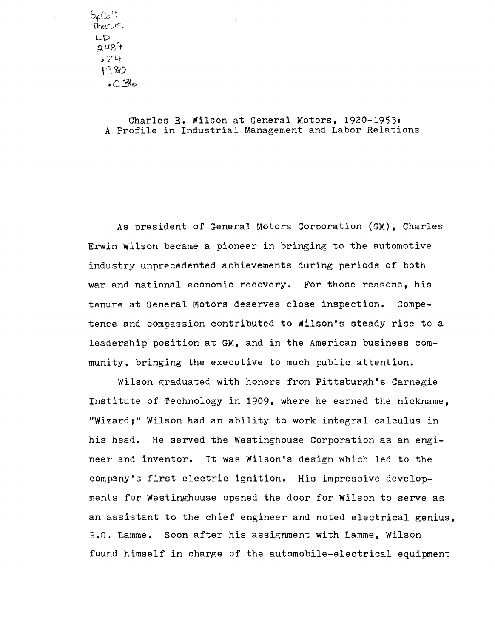$5$ و $\Omega$  it Thesis  $\epsilon$ LD  $2489$ #z4- 1980  $.C.36$ 

> Charles **E.** Wilson at General Motors, 1920-19531 A Profile in Industrial Management and Labor Relations

As president of General Motors Corporation (GM) , Charles Erwin Wilson became a pioneer in bringing to the automotive industry unprecedented achievements during periods of both war and national economic recovery. For those reasons, his tenure at General Motors deserves close inspection. Competence and compassion contributed to Wilson's steady rise to a leadership position at GM, and in the American business community, bringing the executive to much public attention.

Wilson graduated with honors from Pittsburgh's Carnegie Institute of Technology in 1909, where he earned the nickname, "Wizard;" Wilson had an ability to work integral calculus in his head. He served the Westinghouse Corporation as an engineer and inventor. It was Wilson's design which led to the company's first electric ignition. His impressive developments for Westinghouse opened the door for Wilson to serve as an assistant to the chief engineer and noted electrical genius, B.G. Lamme. Soon after his assignment with Lamme, Wilson found himself in charge of the automobile-electrical equipment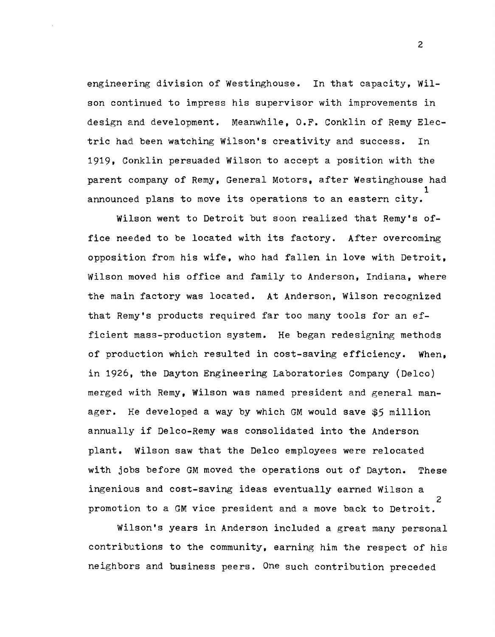engineering division of Westinghouse. In that capacity, Wilson continued to impress his supervisor with improvements in design and development. Meanwhile, O.F. Conklin of Remy Electric had been watching Wilson's creativity and success. In 1919, Conklin persuaded Wilson to accept a position with the parent company of Remy, General Motors, after Westinghouse had 1 announced plans to move its operations to an eastern city.

Wilson went to Detroit but soon realized that Remy's office needed to be located with its factory. After overcoming opposition from his wife, who had fallen in love with Detroit, Wilson moved his office and family to Anderson, Indiana, where the main factory was located. At Anderson, Wilson recognized that Remy's products required far too many tools for an efficient mass-production system. He began redesigning methods of production which resulted in cost-saving efficiency. When, in 1926, the Dayton Engineering Laboratories Company (Delco) merged with Remy, Wilson was named president and general manager. He developed a way by which GM would save \$5 million annually if Delco-Remy was consolidated into the Anderson plant. Wilson saw that the Delco employees were relocated with jobs before GM moved the operations out of Dayton. These ingenious and cost-saving ideas eventually earned Wilson a 2 promotion to a GM vice president and a move back to Detroit.

Wilson's years in Anderson included a great many personal contributions to the community, earning him the respect of his neighbors and business peers. One such contribution preceded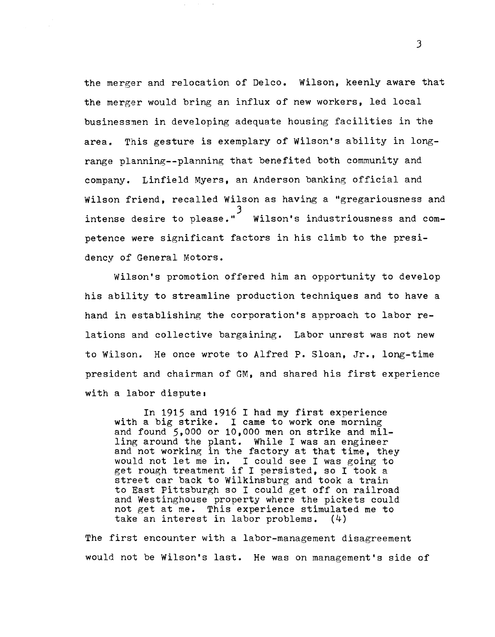the merger and relocation of Delco. Wilson, keenly aware that the merger would bring an influx of new workers, led local businessmen in developing adequate housing facilities in the area. This gesture is exemplary of Wilson's ability in longrange planning--planning that benefited both community and company. Linfield Myers, an Anderson banking official and Wilson friend, recalled Wilson as having a "gregariousness and 3 intense desire to please." Wilson's industriousness and competence were significant factors in his climb to the presidency of General Motors.

Wilson's promotion offered him an opportunity to develop his ability to streamline production techniques and to have a hand in establishing the corporation's approach to labor relations and collective bargaining. Labor unrest was not new to Wilson. He once wrote to Alfred P. Sloan, Jr., long-time president and chairman of GM, and shared his first experience with a labor dispute:

In 1915 and 1916 I had my first experience with a big strike. I came to work one morning and found 5,000 or 10,000 men on strike and milling around the plant. While I was an engineer and not working in the factory at that time, they would not let me in. I could see I was going to get rough treatment if I persisted, so I took a street car back to Wilkinsburg and took a train to East Pittsburgh so I could get off on railroad and Westinghouse property where the pickets could not get at me. This experience stimulated me to take an interest in labor problems. (4)

The first encounter with a labor-management disagreement would not be Wilson's last. He was on management's side of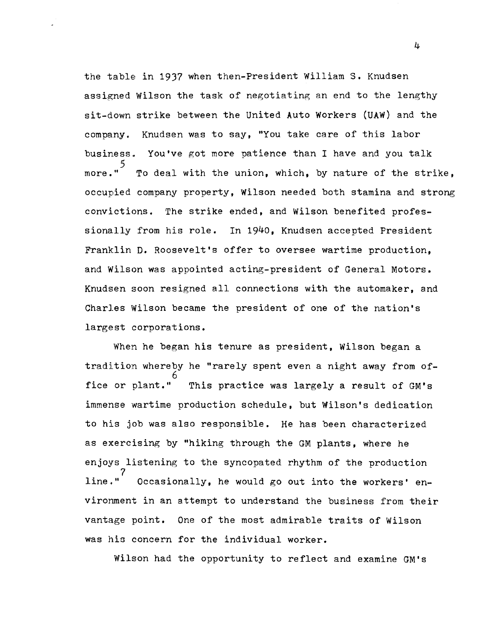the table in 1937 when then-President William S. Knudsen assigned Wilson the task of negotiating an end to the lengthy sit-down strike between the united Auto Workers (UAW) and the company. Knudsen was to say. "You take care of this labor business. You've got more patience than I have and you talk 5 more." To deal with the union, which, by nature of the strike, occupied company property, Wilson needed both stamina and strong convictions. The strike ended, and Wilson benefited professionally from his role. In 1940, Knudsen accented President Franklin **D.** Roosevelt's offer to oversee wartime production, and Wilson was appointed acting-president of General Motors. Knudsen soon resigned all connections with the automaker, and Charles Wilson became the president of one of the nation's largest corporations.

When he began his tenure as president, Wilson began a tradition whereby he "rarely spent even a night away from of-6 fice or plant." This practice was largely a result of GM's immense wartime production schedule, but Wilson's dedication to his job was also responsible. He has been characterized as exercising by "hiking through the GM plants, where he enjoys listening to the syncopated rhythm of the production  $line.$ " Occasionally, he would go out into the workers' environment in an attempt to understand the business from their vantage point. One of the most admirable traits of Wilson was his concern for the individual worker.

Wilson had the opportunity to reflect and examine GM's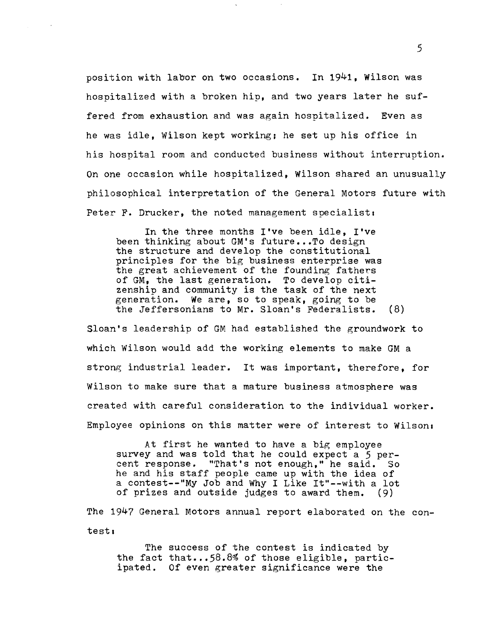position with labor on two occasions. In 1941, Wilson was hospitalized with a broken hip, and two years later he suffered from exhaustion and was again hosnitalized. Even as he was idle, Wilson kept working; he set up his office in his hospital room and conducted business without interruption. On one occasion while hospitalized, Wilson shared an unusually philosophical interpretation of the General Motors future with Peter F. Drucker, the noted management specialist.

In the three months I've been idle, I've been thinking about GM's future...To design the structure and develop the constitutional principles for the big business enterprise was the great achievement of the founding fathers of GM, the last generation. To develop citizenship and community is the task of the next<br>generation. We are, so to speak, going to be We are, so to speak, going to be the Jeffersonians to Mr. Sloan's Federalists. (8)

Sloan's leadership of GM had established the groundwork to which Wilson would add the working elements to make GM a strong industrial leader. It was important, therefore, for Wilson to make sure that a mature business atmosphere was created with careful consideration to the individual worker. Employee opinions on this matter were of interest to Wilson.

At first he wanted to have a big employee survey and was told that he could expect a  $5$  percent response. "That's not enough," he said. So he and his staff people came up with the idea of a contest--"My Job and Why I Like It"--with a lot<br>of prizes and outside judges to award them. (9) of prizes and outside judges to award them.

The 1947 General Motors annual report elaborated on the contest.

The success of the contest is indicated by the fact that...58.8% of those eligible, participated. Of even greater significance were the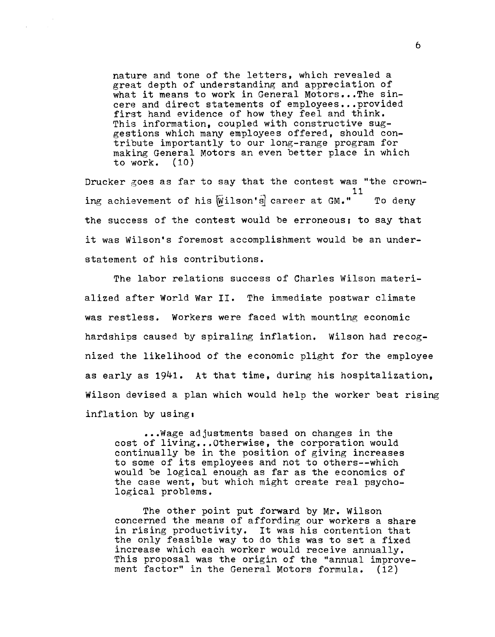nature and tone of the letters, which revealed a great depth of understanding and appreciation of what it means to work in General Motors...The sincere and direct statements of employees...provided first hand evidence of how they feel and think. This information, coupled with constructive suggestions which many employees offered, should contribute importantly to our long-range program for making General Motors an even better place in which<br>to work. (10) to work.

Drucker goes as far to say that the contest was "the crown-11 ing achievement of his  $\overline{W}$ ilson's career at GM." To deny the success of the contest would be erroneous; to say that it was Wilson's foremost accomplishment would be an understatement of his contributions.

The labor relations success of Charles Wilson materialized after World War **II.** The immediate postwar climate was restless. Workers were faced with mounting economic hardships caused by spiraling inflation. Wilson had recognized the likelihood of the economic plight for the employee as early as 1941. At that time, during his hospitalization, Wilson devised a plan which would help the worker beat rising inflation by using:

••• Wage adjustments based on changes in the cost of living... Otherwise, the corporation would continually be in the position of giving increases to some of its employees and not to others--which would be logical enough as far as the economics of the case went, but which might create real psychological problems.

The other point put forward by Mr. Wilson concerned the means of affording our workers a share in rising productivity. It was his contention that the only feasible way to do this was to set a fixed increase which each worker would receive annually. This proposal was the origin of the "annual improvement factor" in the General Motors formula. (12)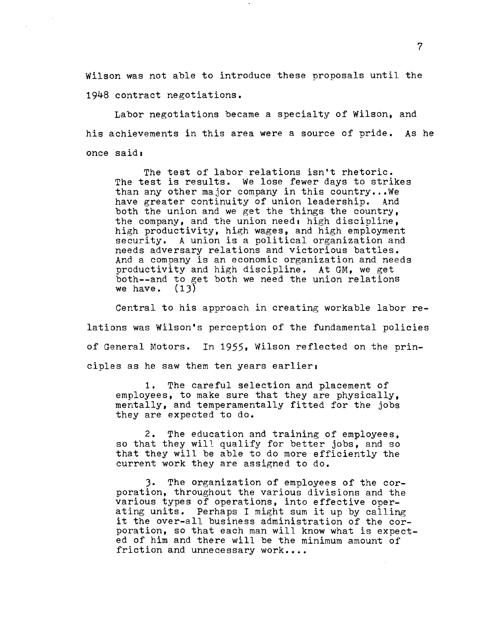Wilson was not able to introduce these proposals until the 1948 contract negotiations.

Labor negotiations became a specialty of Wilson, and his achievements in this area were a source of pride. As he once said.

The test of labor relations isn't rhetoric. The test is results. We lose fewer days to strikes than any other major company in this country •.• We have greater continuity of union leadership. And both the union and we get the things the country, the company, and the union need, high discipline, high productivity, high wages, and high employment security. A union is a political organization and needs adversary relations and victorious battles. And a company is an economic organization and needs productivity and high discipline. At GM, we get both--and to get both we need the union relations we have. (13) we have.

Central to his approach in creating workable labor relations was Wilson's perception of the fundamental policies of General Motors. In 1955, Wilson reflected on the principles as he saw them ten years earlier.

1. The careful selection and placement of employees, to make sure that they are physically, mentally, and temperamentally fitted for the jobs they are expected to do.

2. The education and training of employees, so that they will qualify for better jobs, and so that they will be able to do more efficiently the current work they are assigned to do.

). The organization of employees of the corporation, throughout the various divisions and the various types of operations, into effective operating units. Perhaps I might sum it up by calling it the over-all business administration of the corporation. so that each man will know what is expected of him and there will be the minimum amount of friction and unnecessary work....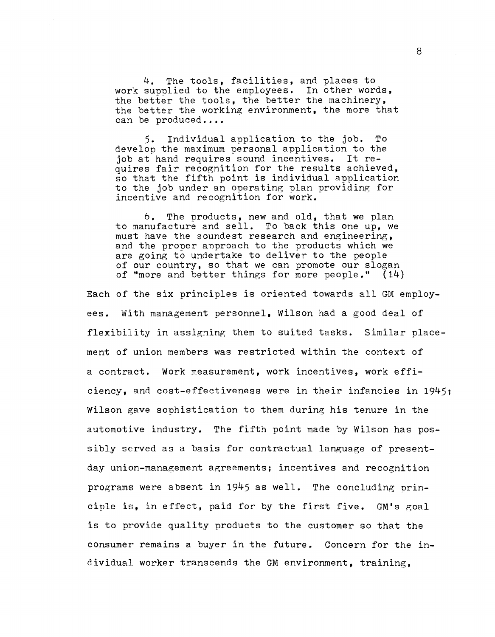4. The tools, facilities, and places to work supplied to the employees. In other words, the better the tools, the better the machinery, the better the working environment, the more that can be produced....

5. Individual application to the job. To develop the maximum personal application to the job at hand requires sound incentives. It requires fair recognition for the results achieved, so that the fifth point is individual application to the job under an operating plan providing for incentive and recognition for work.

6. The products, new and old, that we plan to manufacture and sell. To back this one up, we must have the soundest research and engineering, and the proper approach to the products which we are going to undertake to deliver to the people of our country, so that we can promote our slogan of "more and better things for more people." (14)

Each of the six principles is oriented towards all GM employees. With management personnel, Wilson had a good deal of flexibility in assigning them to suited tasks. Similar placement of union members was restricted within the context of a contract. Work measurement, work incentives, work efficiency, and cost-effectiveness were in their infancies in 1945; Wilson gave sophistication to them during his tenure in the automotive industry. The fifth point made by Wilson has possibly served as a basis for contractual language of presentday union-management agreements; incentives and recognition programs were absent in 1945 as well. The concluding princinle is, in effect, paid for by the first five. GM's goal is to provide quality products to the customer so that the consumer remains a buyer in the future. Concern for the individual worker transcends the GM environment, training,

{3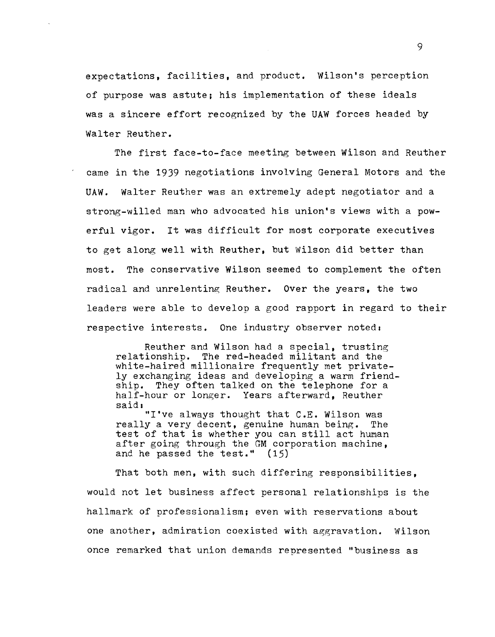expectations, facilities, and product. Wilson's perception of purpose was astute; his implementation of these ideals was a sincere effort recognized by the UAW forces headed by Walter Reuther.

The first face-to-face meeting between Wilson and Reuther came in the 1939 negotiations involving General Motors and the UAW. Walter Reuther was an extremely adept negotiator and a strong-willed man who advocated his union's views with a powerful vigor. It was difficult for most corporate executives to get along well with Reuther, but Wilson did better than most. The conservative Wilson seemed to complement the often radical and unrelenting Reuther. Over the years, the two leaders were able to develop a good rapport in regard to their respective interests. One industry observer noted.

Reuther and Wilson had a special, trusting relationshin. The red-headed militant and the white-haired millionaire frequently met privately exchanging ideas and developing a warm friendship. They often talked on the telephone for a half-hour or longer. Years afterward, Reuther said.

"I've always thought that C.E. Wilson was really a very decent, genuine human being. The test of that is whether you can still act human after going through the GM corporation machine, and he passed the test." (15)

That both men, with such differing responsibilities. would not let business affect personal relationships is the hallmark of professionalism; even with reservations about one another, admiration coexisted with aggravation. Wilson once remarked that union demands represented "business as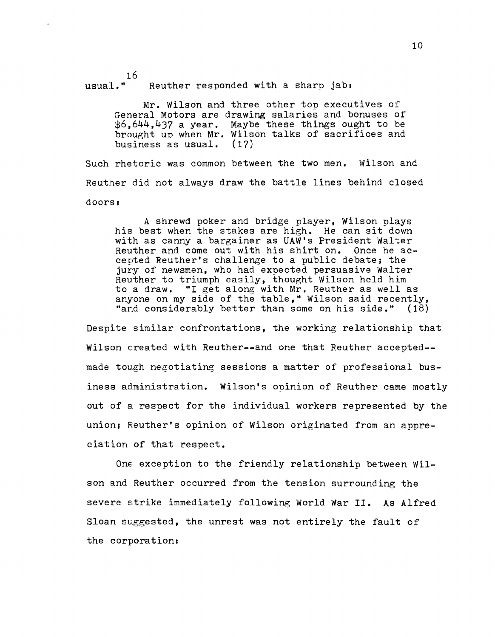$16$ <br>usual." Reuther responded with a sharp jab:

> Mr. Wilson and three other top executives of General Motors are drawing salaries and bonuses of \$6,644,437 a year. Maybe these things ought to be brought up when Mr. Wilson talks of sacrifices and<br>business as usual. (17) business as usual.

Such rhetoric was common between the two men. Wilson and Reuther did not always draw the battle lines behind closed doors:

A shrewd poker and bridge player, Wilson plays his best when the stakes are high. He can sit down with as canny a bargainer as UAW's President Walter Reuther and come out with his shirt on. Once he accepted Reuther's challenge to a public debate; the jury of newsmen, who had expected persuasive Walter Reuther to triumph easily, thought Wilson held him to a draw. "I get along with Mr. Reuther as well as anyone on my side of the table," Wilson said recently,<br>"and considerably better than some on his side."  $(18)$ "and considerably better than some on his side."

Despite similar confrontations, the working relationship that Wilson created with Reuther--and one that Reuther accepted- made tough negotiating sessions a matter of professional business administration. Wilson's opinion of Reuther came mostly out of a respect for the individual workers represented by the union; Heuther's opinion of Wilson originated from an appreciation of that respect.

One exception to the friendly relationship between Wilson and Reuther occurred from the tension surrounding the severe strike immediately following World War II. As Alfred Sloan suggested, the unrest was not entirely the fault of the corporation: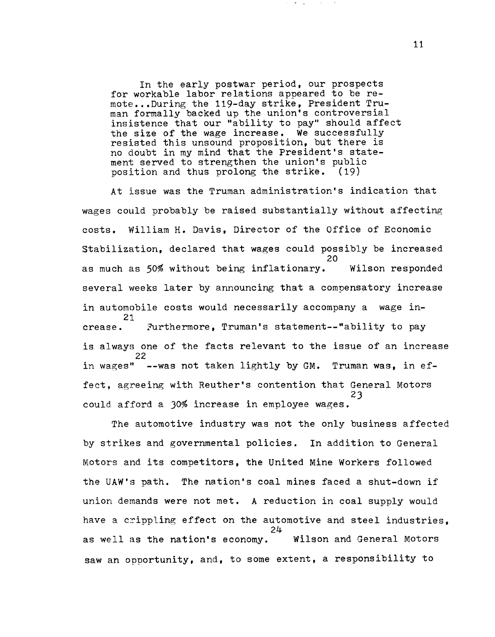In the early postwar period, our prospects for workable labor relations appeared to be remote •.• During the 119-day strike, President Truman formally backed up the union's controversial insistence that our "ability to pay" should affect the size of the wage increase. We successfully resisted this unsound proposition, but there is no doubt in my mind that the President's statement served to strengthen the union's public position and thus prolong the strike. (19)

At issue was the Truman administration's indication that wages could probably be raised substantially without affecting costs. William H. Davis, Director of the Office of Economic stabilization, declared that wages could possibly be increased 20 as much as 50% without being inflationary. Wilson responded several weeks later by announcing that a compensatory increase in automobile costs would necessarily accompany a wage in-21<br>crease. Furthermore. Truman's statement--"ability to pay is always one of the facts relevant to the issue of an increase 22 in wages"  $-$ -was not taken lightly by GM. Truman was, in effect, agreeing with Reuther's contention that General Motors 23 could afford a 30% increase in employee wages.

The automotive industry was not the only business affected by strikes and governmental policies. In addition to General Motors and its competitors, the United Mine Workers followed the UAW's path. The nation's coal mines faced a shut-down if union demands were not met. A reduction in coal supply would have a crippling effect on the automotive and steel industries. 24 as well as the nation's economy. Wilson and General Motors saw an opportunity, and, to some extent, a responsibility to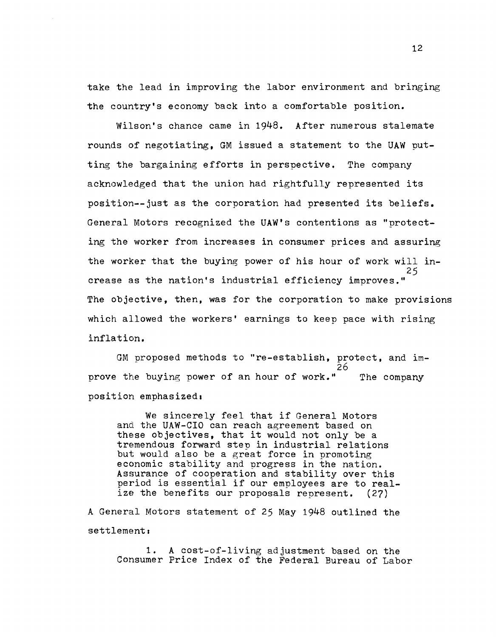take the lead in improving the labor environment and bringing the country's economy back into a comfortable position.

Wilson's chance came in 1948. After numerous stalemate rounds of negotiating, GM issued a statement to the UAW putting the bargaining efforts in perspective. The company acknowledged that the union had rightfully represented its position--just as the corporation had presented its beliefs. General Motors recognized the UAW's contentions as "protecting the worker from increases in consumer prices and assuring the worker that the buying power of his hour of work will in-25 crease as the nation's industrial efficiency improves." The objective, then, was for the corporation to make provisions which allowed the workers' earnings to keep pace with rising inflation.

GM proposed methods to "re-establish, protect, and im-26 prove the buying power of an hour of work." The company position emphasized.

We sincerely feel that if General Motors and the UAW-CIO can reach agreement based on these objectives, that it would not only be a tremendous forward step in industrial relations but would also be a great force in promoting economic stability and progress in the nation. Assurance of cooperation and stability over this period is essential if our employees are to real-<br>ize the benefits our proposals represent. (27) ize the benefits our proposals represent.

A General Motors statement of 25 May 1948 outlined the  $set$ tlement:

1. A cost-of-living adjustment based on the Consumer Price Index of the Federal Bureau of Labor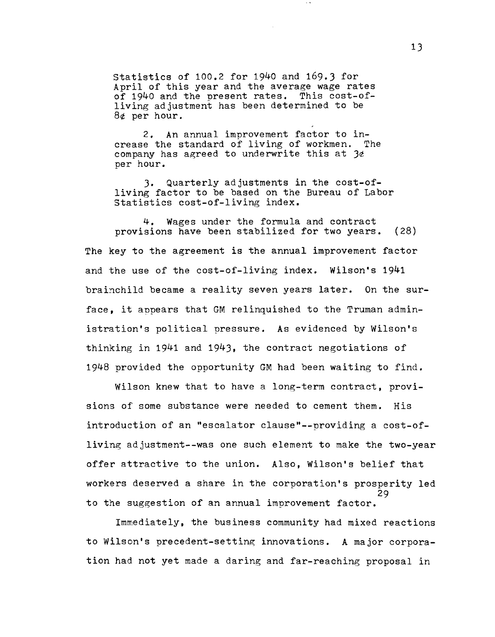statistics of 100.2 for 1940 and 169.3 for April of this year and the average wage rates of 1940 and the present rates. This cost-ofliving adjustment has been determined to be 8¢ per hour.

2. An annual improvement factor to increase the standard of living of workmen. The company has agreed to underwrite this at  $3e$ per hour.

3. Quarterly adjustments in the cost-ofliving factor to be based on the Bureau of Labor Statistics cost-of-living index.

**4.** Wages under the formula and contract provisions have been stabilized for two years. (28)

The key to the agreement is the annual improvement factor and the use of the cost-of-living index. Wilson's 1941 brainchild became a reality seven years later. On the surface, it appears that GM relinquished to the Truman administration's political pressure. As evidenced by Wilson's thinking in 1941 and 1943, the contract negotiations of 1948 provided the opportunity GM had been waiting to find.

Wilson knew that to have a long-term contract, provisions of some substance were needed to cement them. His introduction of an "escalator clause"--providing a cost-ofliving adjustment--was one such element to make the two-year offer attractive to the union. Also, Wilson's belief that workers deserved a share in the corporation's prosperity led 29 to the suggestion of an annual improvement factor.

Immediately, the business community had mixed reactions to Wilson's precedent-setting innovations. A major corporation had not yet made a daring and far-reaching proposal in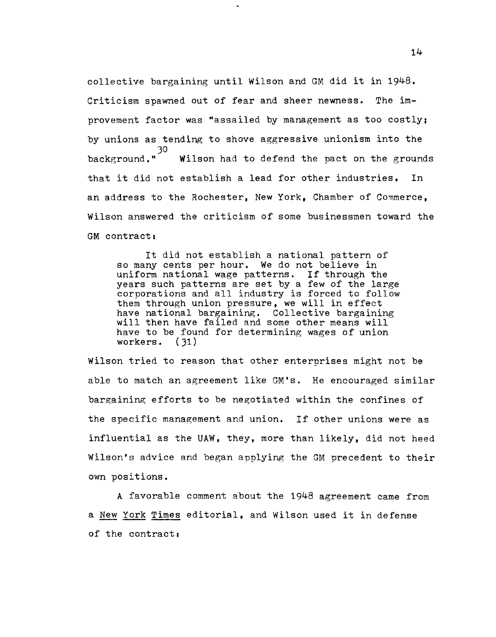collective bargaining until Wilson and GM did it in 1948. Criticism spawned out of fear and sheer newness. The improvement factor was "assailed by management as too costly; by unions as tending to shove aggressive unionism into the 30<br>background." Wilson had to defend the pact on the grounds that it did not establish a lead for other industries, In an address to the Rochester. New York. Chamber of Commerce. Wilson answered the criticism of some businessmen toward the GM contract:

It did not establish a national pattern of so many cents per hour. We do not believe in uniform national wage patterns. If through the years such patterns are set by a few of the large corporations and all industry is forced to follow them through union pressure, we will in effect have national bargaining. Collective bargaining will then have failed and some other means will have to be found for determining wages of union workers. (31) workers.

Wilson tried to reason that other enterprises might not be able to match an agreement like GM's. He encouraged similar bargaining efforts to be negotiated within the confines of the specific management and union. If other unions were as influential as the UAW, they, more than likely, did not heed Wilson's advice and began applying the GM precedent to their own positions.

A favorable comment about the 1948 agreement came from a New York Times editorial, and Wilson used it in defense of the contract: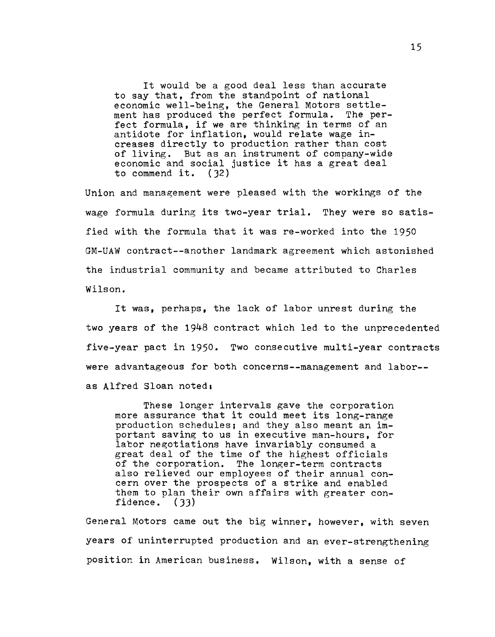It would be a good deal less than accurate to say that, from the standpoint of national economic well-being, the General Motors settlement has produced the perfect formula. The perfect formula, if we are thinking in terms of an antidote for inflation, would relate wage increases directly to production rather than cost of living. But as an instrument of company-wide economic and social justice it has a great deal to commend it. (32)

Union and management were pleased with the workings of the wage formula during its two-year trial. They were so satisfied with the formula that it was re-worked into the 1950 GM-UAW contract--another landmark agreement which astonished the industrial community and became attributed to Charles Wilson.

It was, perhaps, the lack of labor unrest during the two years of the 1948 contract which led to the unprecedented five-year pact in 1950. Two consecutive multi-year contracts were advantageous for both concerns--management and labor- as Alfred Sloan noted,

These longer intervals gave the corporation more assurance that it could meet its long-range production schedules; and they also meant an important saving to us in executive man-hours, for labor negotiations have invariably consumed a great deal of the time of the highest officials of the corporation. The longer-term contracts also relieved our employees of their annual concern over the prospects of a strike and enabled them to plan their own affairs with greater confidence. (33)

General Motors came out the big winner, however, with seven years of uninterrupted production and an ever-strengthening position in American business. Wilson, with a sense of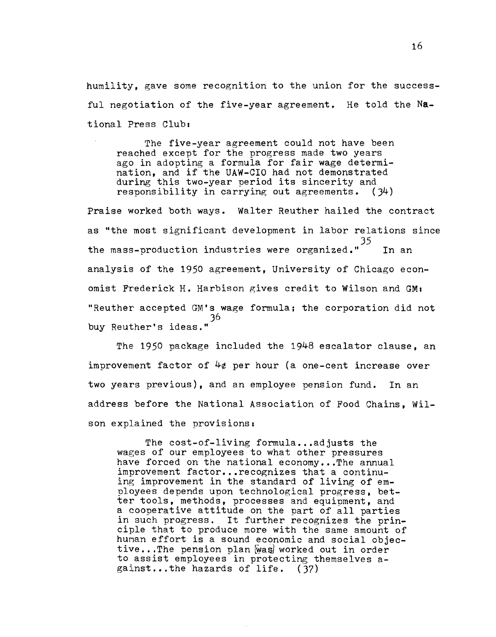humility, gave some recognition to the union for the successful negotiation of the five-year agreement. He told the **Na**tional Press Club:

The five-year agreement could not have been reached except for the progress made two years ago in adopting a formula for fair wage determination, and if the UAW-CIO had not demonstrated during this two-year period its sincerity and responsibility in carrying out agreements. (J4)

Praise worked both ways. Walter Reuther hailed the contract as "the most significant development in labor relations since J5 the mass-production industries were organized."<sup>22</sup> In an analysis of the 1950 agreement, University of Chicago economist Frederick H. Harbison gives credit to Wilson and GMI "Reuther accepted GM's wage formula; the corporation did not J6 buy Reuther's ideas."

The 1950 package included the 1948 escalator clause, an improvement factor of 4¢ per hour (a one-cent increase over two years previous), and an employee pension fund. In an address before the National Association of Food Chains, Wilson explained the provisions.

The cost-of-living formula...adjusts the wages of our employees to what other pressures have forced on the national economy...The annual improvement factor... recognizes that a continuing improvement in the standard of living of employees depends upon technological progress, better tools, methods, processes and equipment, and a eooperative attitude on the part of all parties in such progress. It further recognizes the principle that to produce more with the same amount of hunan effort is a sound economic and social objective...The pension plan was worked out in order to assist employees in protecting themselves against...the hazards of life. (37)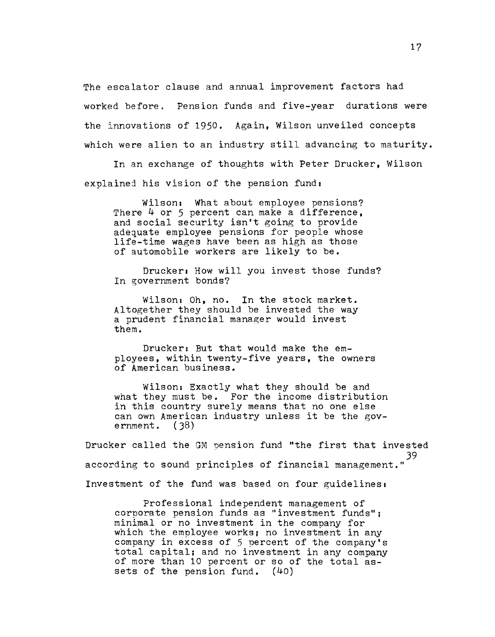The escalator clause and annual improvement factors had worked before. Pension funds and five-year durations were the innovations of 1950. Again, Wilson unveiled concepts which were alien to an industry still advancing to maturity.

In an exchange of thoughts with Peter Drucker, Wilson explained his vision of the pension fund:

Wilson: What about employee pensions? There 4 or 5 percent can make a difference. and social security isn't going to provide adequate employee pensions for people whose life-time wages have been as high as those of automobile workers are likely to be.

Drucker: How will you invest those funds? In government bonds?

Wilson: Oh, no. In the stock market. Altogether they should be invested the way a prudent financial manager would invest them.

Drucker: But that would make the employees, within twenty-five years, the owners of American business.

Wilson: Exactly what they should be and what they must be. For the income distribution in this country surely means that no one else can own American industry unless it be the government. (38)

Drucker called the GM Dension fund "the first that invested 39 according to sound principles of financial management." Investment of the fund was based on four guidelines.

Professional independent management of corporate pension funds as "investment funds"; minimal or no investment in the company for which the employee works; no investment in any company in excess of 5 percent of the company's total capital; and no investment in any company of more than 10 percent or so of the total assets of the pension fund. (40)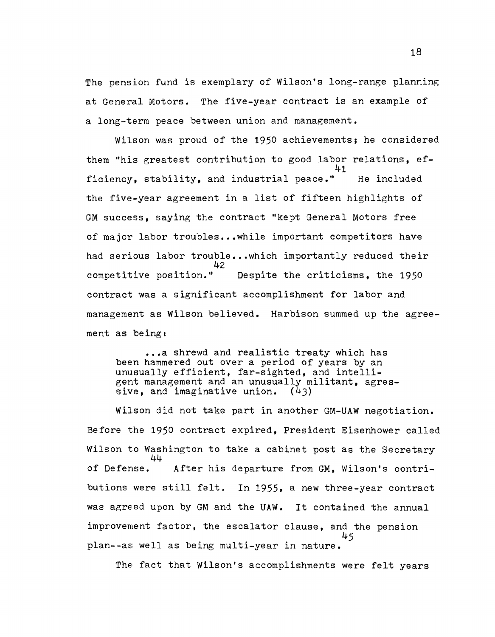The pension fund is exemplary of Wilson's long-range planning at General Motors. The five-year contract is an example of a long-term peace between union and management.

Wilson was proud of the 1950 achievements; he considered them "his greatest contribution to good labor relations, ef-41 ficiency, stability, and industrial peace." IHe included the five-year agreement in a list of fifteen highlights of GM success, saying the contract "kept General Motors free of major labor troubles...while important competitors have had serious labor trouble...which importantly reduced their competitive position." Despite the criticisms, the 1950 contract was a significant accomplishment for labor and management as Wilson believed. Harbison summed up the agreement as being,

**... a** shrewd and realistic treaty which has been hammered out over a period of years by an unusually efficient, far-sighted, and intelligent management and an unusually militant, agres-<br>sive, and imaginative union. (43) sive, and imaginative union.

Wilson did not take part in another GM-UAW negotiation. Before the 1950 contract expired, President Eisenhower called Wilson to Washington to take a cabinet post as the Secretary<br> $44$ <br>of Defense. After his departure from GM. Wilson's contri-After his departure from GM, Wilson's contributions were still felt. In 1955, a new three-year contract was agreed upon by GM and the UAW. It contained the annual improvement factor. the escalator clause, and the pension 45 plan--as well as being multi-year in nature.

The fact that Wilson's accomplishments were felt years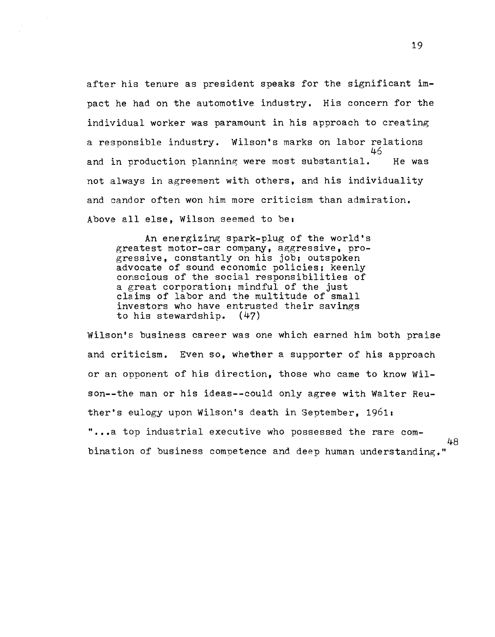after his tenure as president speaks for the significant impact he had on the automotive industry. His concern for the individual worker was paramount in his approach to creating a responsible industry. Wilson's marks on labor relations 46 and in production planning were most substantial. He was not always in agreement with others, and his individuality and candor often won him more criticism than admiration. Above all else, Wilson seemed to be:

An energizing spark-plug of the world's greatest motor-car company, aggressive, progressive, constantly on his job; outspoken advocate of sound economic policies; keenly conscious of the social responsibilities of a great corporation; mindful of the just claims of labor and the multitude of small investors who have entrusted their savings to his stewardship. (47)

Wilson's business career was one which earned him both praise and criticism. Even so, whether a supporter of his approach or an opponent of his direction, those who came to know Wilson--the man or his ideas--could only agree with Walter Reuther's eulogy upon Wilson's death in September, *19611*  "...a top industrial executive who possessed the rare combination of business competence and deep human understanding."

48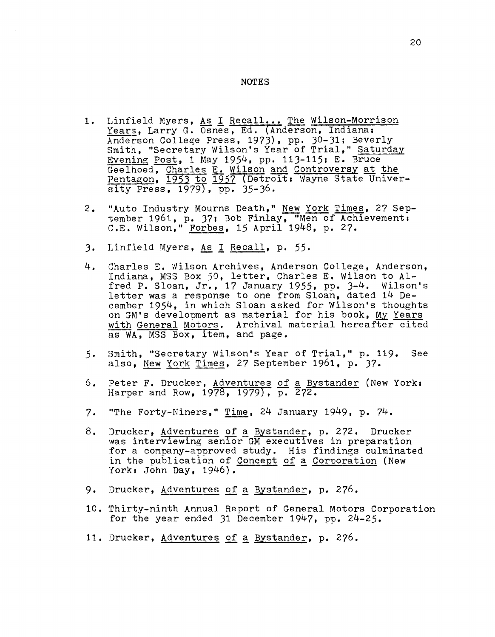## **NOTES**

- 1. Linfield Myers, As I Recall... The Wilson-Morrison Years, Larry G. Osnes, Ed. (Anderson, Indiana: Anderson College Press, 1973), pp. 30-31; Beverly Smith, "Secretary Wilson's Year of Trial," Saturday Evening Post, 1 May 1954, pp. 113-115; E. Bruce Geelhoed, Charles E. Wilson and Controversy at the Pentagon, 1953 to 1957 (Detroit: Wayne State University Press, 1979), pp. 35-36.
- 2. "Auto Industry Mourns Death," New York Times, 27 September 1961, p. 37; Bob Finlay, "Men of Achievement. C.E. Wilson," Forbes, 15 April 1948, p. 27.
- 3. Linfield Myers, As I Recall, p. 55.
- 4. Charles E. Wilson Archives, Anderson College, Anderson, Indiana. MSS Box 50, letter, Charles E. Wilson to Alfred P. Sloan, Jr., 17 January 1955, pp. 3-4. Wilson's letter was a response to one from Sloan, dated 14 December 1954, in which Sloan asked for Wilson's thoughts on GM's development as material for his book, MY Years with General Motors. Archival material hereafter cited as WA, MSS Box, item, and page.
- 5. Smith, "Secretary Wilson's Year of Trial," p. 119. See also, New York Times, 27 September 1961, p. 37.
- 6. Peter F. Drucker, Adventures of a Bystander (New York. Harper and Row, 1978, 1979), p. 272.
- 7. "The FortY-Niners," Time, 24 January 1949, p. 74.
- 8. Drucker, Adventures of a Bystander, p. 272. Drucker was interviewing senior GM executives in preparation for a company-approved study. His findings culminated in the publication of Concept of a Corporation (New York: John Day, 1946).
- 9. Jrucker, Adventures of a Bystander, p. 276.
- 10. 'fhirty-ninth Annual Report of General Motors Corporation for the year ended 31 December 1947, pp. 24-25.
- 11. Drucker, Adventures of a Bystander, p. 276.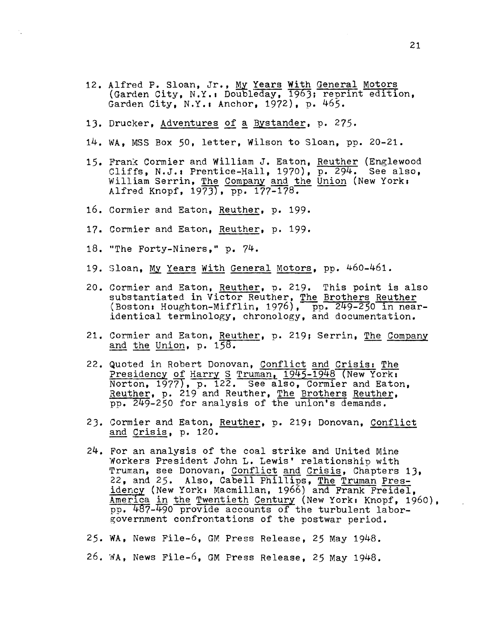- 12. Alfred P. Sloan, Jr., My Years With General Motors (Garden City, N.Y.: Doubleday, 1963; reprint edition, Garden City, N.Y.: Anchor, 1972), p. 465.
- 13. Drucker, Adventures of a Bystander, p. 275.
- 14. WA, MSS Box 50, letter, Wilson to Sloan, pp. 20-21.
- 15. Frank Cormier and William J. Eaton, Reuther (Englewood Cliffs, N.J.: Prentice-Hall, 1970),  $\overline{p. 294}$ . See also, William Serrin, The Company and the Union (New York. Alfred Knopf,  $1973$ , pp.  $177-178$ .
- 16. Cormier and Eaton, Reuther, p. 199.
- 17. Cormier and Eaton, Reuther, p. 199.
- 18. "The Forty-Niners," p. 74.

 $\mathbb{Z}^2$ 

- 19. Sloan, My Years With General Motors, pp. 460-461.
- 20. Cormier and Eaton, Reuther, p. 219. This point is also substantiated in Victor Reuther, The Brothers Reuther  $($  Boston: Houghton-Mifflin, 1976),  $\frac{p}{p}p.$  249-250 in nearidentical terminology, chronology, and documentation.
- 21. Cormier and Eaton, Reuther, p. 219; Serrin, The Company and the Union, p. 15S.
- 22. Quoted in Robert Donovan, Conflict and Crisis, The Presidency of Harry  $\leq$  Truman, 1945-1948 (New York. Norton, 1977), p. 122. See also, Cormier and Eaton, Reuther, p. 219 and Reuther, The Brothers Reuther, pp. 249-250 for analysis of the union's demands.
- 23. Cormier and Eaton, Reuther, p. 219; Donovan, Conflict and Crisis, p. 120.
- 24. For an analysis of the coal strike and United Mine Workers President John L. Lewis' relationship with Truman, see Donovan, Conflict and Crisis, Chapters 13, 22, and 25. Also, Cabell Phillips, The Truman Presidency (New York: Macmillan, 1966) and Frank Freidel, America in the Twentieth Century (New York: Knopf, 1960), pp. 487-490 provide accounts of the turbulent laborgovernment confrontations of the postwar period.
- 25. WA, News File-6, GM Press Release, 25 May 1948.
- 26. WA, News File-6, GM Press Release, 25 May 1948.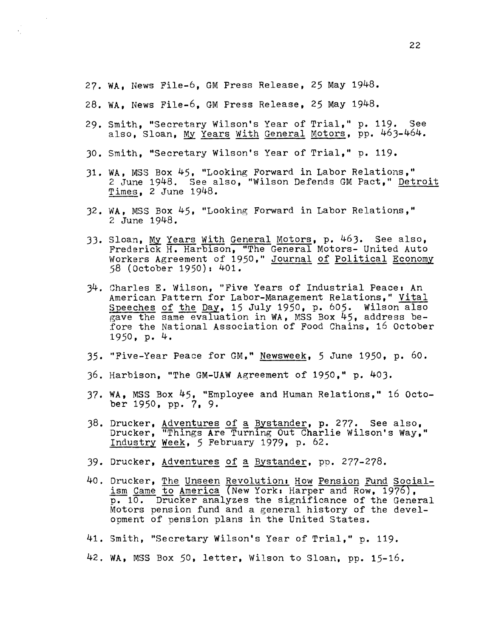27. WA, News File-6, GM Press Release, 25 May 1948.

- 28. WA, News File-6, GM Press Release, 25 May 1948.
- 29. Smith, "Secretary Wilson's Year of Trial, " p. 119. See also, Sloan, My Years With General Motors, pp. 463-464.
- 30. Smith, "Secretary Wilson's Year of Trial, " p. 119.
- 31. WA, MSS Box 45, "Looking Forward in Labor Relations," 2 June 1948. See also, "Wilson Defends GM Pact," Detroit Times, 2 June 1948.
- 32. WA. MSS Box 45. "Looking Forward in Labor Relations," ~~ June 1948.
- 33. Sloan, My Years With General Motors, p. 463. See also, Frederick H. Harbison, "The General Motors- United Auto Workers Agreement of 1950," Journal of Political Economy S8 (October 1950): 401.
- 34. Charles E. Wilson, "Five Years of Industrial Peace. An American Pattern for Labor-Management Relations," Vital Speeches of the Day, 15 July 1950, p. 605. Wilson also gave the same evaluation in WA, MSS Box 45, address before the National Association of Food Chains, 16 October 1950, p. 4.
- 35. "Five-Year Peace for GM," Newsweek, 5 June 1950, p. 60.
- 36. Harbison, "The GM-UAW Agreement of 1950," p. 403.
- 37. WA, MSS Box 45. "Employee and Human Relations," 16 October 1950, pp. 7, 9.
- 38. Drucker, Adventures of a Bystander, p. 277. See also. Drucker, "Things Are Turning Out Charlie Wilson's Way," .Industry Week, 5 February 1979. p. 62.
- 39. Drucker, Adventures of a Bystander, pp. 277-278.
- 40. Drucker, The Unseen Revolution: How Pension Fund Socialism Came to America (New York: Harper and Row, 1976), p. 10. Drucker analyzes the significance of the General Motors pension fund and a general history of the development of pension plans in the United States.
- 41. Smith, "Secretary Wilson's Year of Trial," p. 119.
- 42. WA, MSS Box 50, letter, Wilson to Sloan, pp. 15-16.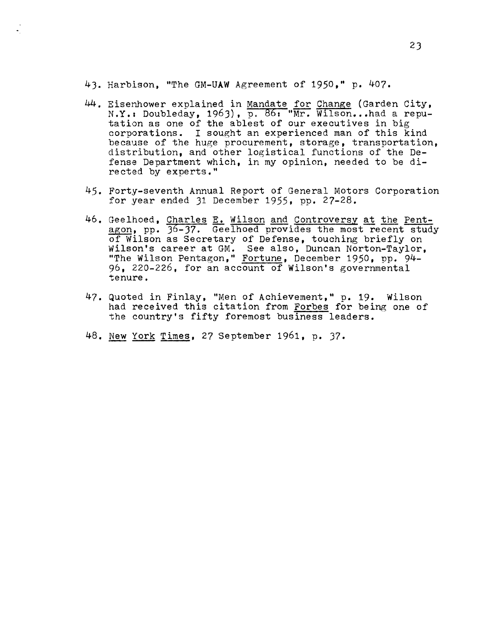4). Harbison, "The GM-UAW Agreement of 1950," p. 407.

- 44. Eisenhower explained in Mandate for Change (Garden City, N.Y.: Doubleday, 1963), p. 86: "Mr. Wilson... had a reputation as one of the ablest of our executives in big corporations. I sought an experienced man of this kind because of the huge procurement, storage, transportation, distribution, and other logistical functions of the Defense Department which, in my opinion, needed to be directed by experts."
- 45. Forty-seventh Annual Report of General Motors Corporation for year ended 31 December 1955, pp. 27-28.
- 46. Geelhoed, Charles E. Wilson and Controversy at the Pentagon, pp. 36-37. Geelhoed provides the most recent study of Wilson as Secretary of Defense, touching briefly on Wilson's career at GM. See also, Duncan Norton-Taylor, "The Wilson Pentagon," Fortune, December 1950, pp. 94- 96, 220-226, for an account of Wilson's governmental tenure.
- 47. Quoted in Finlay, "Men of Achievement," p. 19. Wilson had received this citation from Forbes for being one of the country's fifty foremost business leaders.
- 48. New York Times, 27 September 1961, p. )7.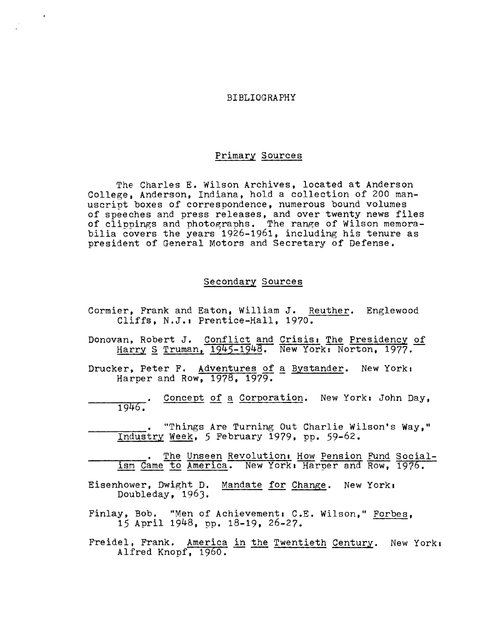## BIBLIOGRAPHY

## Primary Sources

The Charles E. Wilson Archives, located at Anderson College. Anderson, Indiana, hold a collection of 200 manuscrint boxes of correspondence, numerous bound volumes of speeches and press releases, and over twenty news files of clippings and photographs. The range of Wilson memorabilia covers the years 1926-1961, including his tenure as president of General Motors and Secretary of Defense.

## Secondary Sources

- Cormier., Frank and Eaton, William J. Reuther. Englewood Cliffs, N.J.: Prentice-Hall, 1970.
- Donovan, Robert J. Conflict and Crisis: The Presidency of Harry S Truman, 1945-1948. New York: Norton, 1977.
- Drucker, Peter F. Adventures of a Bystander. New York: Harper and Row, 1978, 1979.
- Concept of a Corporation. New York: John Day,  $1946.$
- "Things Are Turning Out Charlie Wilson's Way," Industry Week, 5 February 1979, pp. 59-62.
- The Unseen Revolution: How Pension Fund Socialism Came to America. New York, Harper and Row, 1976.
- Eisenhower, Dwight D. Mandate for Change. New York. Doubleday, 196).
- Finlay, Bob. "Men of Achievement: C.E. Wilson," Forbes, 15 April 1948, pp. 18-19, 26-27.
- Freidel, Frank. America in the Twentieth Century. New York:<br>Alfred Knopf, 1960.